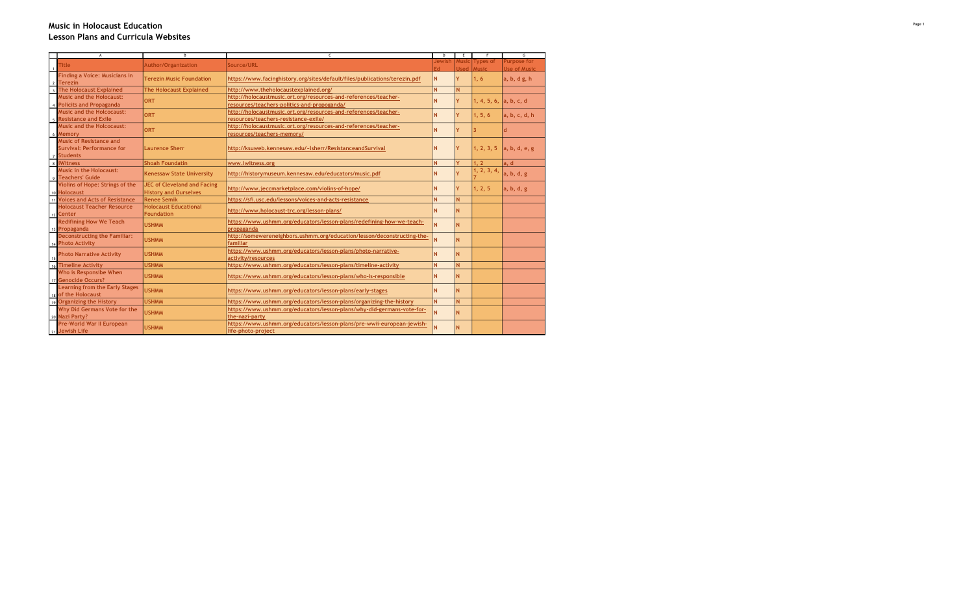## Music in Holocaust Education Lesson Plans and Curricula Websites

| $\Lambda$                                                                    | $\mathsf{\mathsf{B}}$              | $\epsilon$                                                                 | D      | E     | F                      | $\overline{\mathsf{G}}$ |
|------------------------------------------------------------------------------|------------------------------------|----------------------------------------------------------------------------|--------|-------|------------------------|-------------------------|
|                                                                              |                                    |                                                                            | Jewish | Music | <b>Types of</b>        | <b>Purpose for</b>      |
| <b>Title</b>                                                                 | Author/Organization                | Source/URL                                                                 | Ed.    | hezll | <b>Music</b>           | Use of Music            |
| <b>Finding a Voice: Musicians in</b>                                         |                                    |                                                                            |        |       |                        |                         |
|                                                                              | <b>Terezin Music Foundation</b>    | https://www.facinghistory.org/sites/default/files/publications/terezin.pdf | N      | Y     | 1, 6                   | a, b, d g, h            |
| 2 Terezin<br>3 The Holocaust Explained                                       | <b>The Holocaust Explained</b>     | http://www.theholocaustexplained.org/                                      | N      | N     |                        |                         |
| <b>Music and the Holocaust:</b>                                              |                                    | http://holocaustmusic.ort.org/resources-and-references/teacher-            |        |       |                        |                         |
|                                                                              | ORT                                |                                                                            | N      | Ÿ.    | 1, 4, 5, 6, a, b, c, d |                         |
| 4 Policits and Propaganda                                                    |                                    | resources/teachers-politics-and-propoganda/                                |        |       |                        |                         |
| <b>Music and the Holcocaust:</b>                                             | ORT                                | http://holocaustmusic.ort.org/resources-and-references/teacher-            | N      | Ÿ     | 1, 5, 6                | a, b, c, d, h           |
| <b>Resistance and Exile</b>                                                  |                                    | resources/teachers-resistance-exile/                                       |        |       |                        |                         |
| <b>Music and the Holcocaust:</b>                                             | ORT                                | http://holocaustmusic.ort.org/resources-and-references/teacher-            | N      | Ÿ     |                        |                         |
| 6 Memory                                                                     |                                    | resources/teachers-memory/                                                 |        |       |                        |                         |
| <b>Music of Resistance and</b>                                               |                                    |                                                                            |        |       |                        |                         |
| <b>Survival: Performance for</b>                                             | <b>Laurence Sherr</b>              | http://ksuweb.kennesaw.edu/~lsherr/ResistanceandSurvival                   | N      | Ÿ     | 1, 2, 3, 5             | a, b, d, e, g           |
| 7 Students                                                                   |                                    |                                                                            |        |       |                        |                         |
| 8 <i>iWitness</i>                                                            | <b>Shoah Foundatin</b>             | www.iwitness.org                                                           | N      | Y     | 1.2                    | a, d                    |
| <b>Music in the Holocaust:</b>                                               |                                    |                                                                            |        |       | 1, 2, 3, 4,            |                         |
| 9 Teachers' Guide                                                            | <b>Kenessaw State University</b>   | http://historymuseum.kennesaw.edu/educators/music.pdf                      | N      | Ÿ     |                        | a, b, d, g              |
| Violins of Hope: Strings of the                                              | <b>JEC of Cleveland and Facing</b> |                                                                            |        |       |                        |                         |
|                                                                              | <b>History and Ourselves</b>       | http://www.jeccmarketplace.com/violins-of-hope/                            | N      | Ÿ.    | 1, 2, 5                | a, b, d, g              |
| 10 Holocaust<br>11 Voices and Acts of Resistance                             | <b>Renee Semik</b>                 | https://sfi.usc.edu/lessons/voices-and-acts-resistance                     | N      | N.    |                        |                         |
| <b>Holocaust Teacher Resource</b>                                            | <b>Holocaust Educational</b>       |                                                                            |        |       |                        |                         |
| $12$ Center                                                                  | Foundation                         | http://www.holocaust-trc.org/lesson-plans/                                 | N      | N     |                        |                         |
| <b>Redifining How We Teach</b>                                               |                                    | https://www.ushmm.org/educators/lesson-plans/redefining-how-we-teach-      |        |       |                        |                         |
| 13 Propaganda                                                                | <b>USHMM</b>                       | propaganda                                                                 | N      | N     |                        |                         |
| <b>Deconstructing the Familiar:</b>                                          |                                    | http://somewereneighbors.ushmm.org/education/lesson/deconstructing-the-    |        |       |                        |                         |
| 14 Photo Activity                                                            | <b>USHMM</b>                       | familiar                                                                   | N      | N     |                        |                         |
|                                                                              |                                    | https://www.ushmm.org/educators/lesson-plans/photo-narrative-              |        |       |                        |                         |
| <b>Photo Narrative Activity</b>                                              | <b>USHMM</b>                       | activity/resources                                                         | N      | Ñ     |                        |                         |
| 16 Timeline Activity                                                         | <b>USHMM</b>                       | https://www.ushmm.org/educators/lesson-plans/timeline-activity             | N      | N     |                        |                         |
| Who is Responsibe When                                                       |                                    |                                                                            |        |       |                        |                         |
| 17 Genocide Occurs?                                                          | <b>USHMM</b>                       | https://www.ushmm.org/educators/lesson-plans/who-is-responsible            | N      | N     |                        |                         |
| <b>Learning from the Early Stages</b>                                        |                                    |                                                                            |        |       |                        |                         |
|                                                                              | <b>USHMM</b>                       | https://www.ushmm.org/educators/lesson-plans/early-stages                  | N      | Ñ     |                        |                         |
| 18 of the Holocaust                                                          |                                    |                                                                            |        |       |                        |                         |
| 19 Organizing the History                                                    | <b>USHMM</b>                       | https://www.ushmm.org/educators/lesson-plans/organizing-the-history        | N      | N     |                        |                         |
| Why Did Germans Vote for the                                                 | <b>USHMM</b>                       | https://www.ushmm.org/educators/lesson-plans/why-did-germans-vote-for-     | N      | N     |                        |                         |
|                                                                              |                                    | the-nazi-party                                                             |        |       |                        |                         |
| 20 Nazi Party?<br>Pre-World W<br>21 Jewish Life<br>Pre-World War II European | <b>USHMM</b>                       | https://www.ushmm.org/educators/lesson-plans/pre-wwii-european-jewish-     | N      | N     |                        |                         |
|                                                                              |                                    | life-photo-project                                                         |        |       |                        |                         |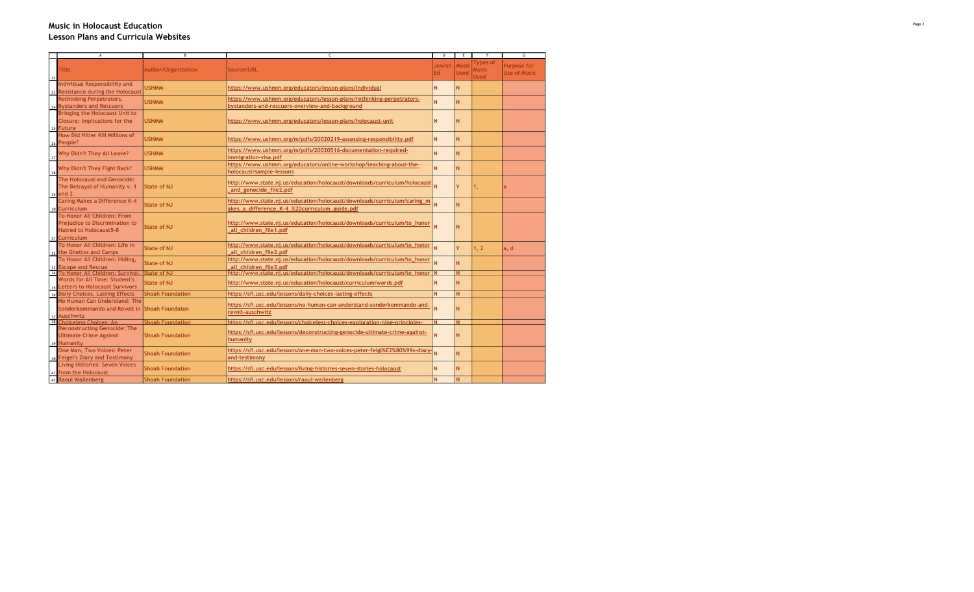## Music in Holocaust Education Lesson Plans and Curricula Websites

|    | A                                                                                                                      | В                                        | c                                                                                                                                             | D            | E                           | F                                | G                                         |
|----|------------------------------------------------------------------------------------------------------------------------|------------------------------------------|-----------------------------------------------------------------------------------------------------------------------------------------------|--------------|-----------------------------|----------------------------------|-------------------------------------------|
| 22 | <b>Title</b>                                                                                                           | <b>Author/Organization</b>               | Source/URL                                                                                                                                    | Jewish<br>Ed | <b>Music</b><br><b>Used</b> | Types of<br>Ausic<br><b>Used</b> | <b>Purpose for</b><br><b>Use of Music</b> |
|    | <b>Individual Responsibility and</b><br>23 Resistance during the Holocaust                                             | <b>USHMM</b>                             | https://www.ushmm.org/educators/lesson-plans/individual                                                                                       | N            | N                           |                                  |                                           |
|    | <b>Rethinking Perpetrators,</b><br>24 Bystanders and Rescuers                                                          | <b>USHMM</b>                             | https://www.ushmm.org/educators/lesson-plans/rethinking-perpetrators-<br>bystanders-and-rescuers-overview-and-background                      | N            | N                           |                                  |                                           |
|    | <b>Bringing the Holocaust Unit to</b><br><b>Closure: Implications for the</b><br>25 Future                             | <b>USHMM</b>                             | https://www.ushmm.org/educators/lesson-plans/holocaust-unit                                                                                   | N            | N                           |                                  |                                           |
|    | How Did Hitler Kill Millions of<br>26 People?                                                                          | <b>USHMM</b>                             | https://www.ushmm.org/m/pdfs/20020219-assessing-responsibility.pdf                                                                            | N.           | N                           |                                  |                                           |
| 27 | Why Didn't They All Leave?                                                                                             | <b>USHMM</b>                             | https://www.ushmm.org/m/pdfs/20020516-documentation-required-<br>immigration-visa.pdf                                                         | N            | N                           |                                  |                                           |
| 28 | Why Didn't They Fight Back?                                                                                            | <b>USHMM</b>                             | https://www.ushmm.org/educators/online-workshop/teaching-about-the-<br>holocaust/sample-lessons                                               | N            | N                           |                                  |                                           |
|    | The Holocaust and Genocide:<br>The Betrayal of Humanity v. 1<br>29 and 2                                               | <b>State of NJ</b>                       | http://www.state.nj.us/education/holocaust/downloads/curriculum/holocaust<br>and genocide file2.pdf                                           |              | Y                           | 1,                               |                                           |
| 30 | <b>Caring Makes a Difference K-4</b><br><b>Curriculum</b>                                                              | <b>State of NJ</b>                       | http://www.state.nj.us/education/holocaust/downloads/curriculum/caring_m<br>akes_a_difference_K-4_%20curriculum_guide.pdf                     |              | N                           |                                  |                                           |
|    | To Honor All Children: From<br><b>Prejudice to Discrimination to</b><br><b>Hatred to Holocaust5-8</b><br>31 Curriculum | <b>State of NJ</b>                       | http://www.state.nj.us/education/holocaust/downloads/curriculum/to honor<br>all children file1.pdf                                            |              | N                           |                                  |                                           |
|    | To Honor All Children: Life in<br>32 the Ghettos and Camps                                                             | <b>State of NJ</b>                       | http://www.state.nj.us/education/holocaust/downloads/curriculum/to_honor<br>all children file2.pdf                                            |              | Y                           | 1, 2                             | a, d                                      |
| 33 | To Honor All Children: Hiding,<br><b>Escape and Rescue</b>                                                             | <b>State of NJ</b>                       | http://www.state.nj.us/education/holocaust/downloads/curriculum/to_honor<br>all children file3.pdf                                            |              | N                           |                                  |                                           |
|    | 34 To Honor All Children: Survival.<br><b>Words for All Time: Student's</b><br>35 Letters to Holocaust Survivors       | <b>State of NJ</b><br><b>State of NJ</b> | http://www.state.ni.us/education/holocaust/downloads/curriculum/to honor N<br>http://www.state.nj.us/education/holocaust/curriculum/words.pdf | N            | N                           |                                  |                                           |
|    | 36 Daily Choices, Lasting Effects                                                                                      | <b>Shoah Foundation</b>                  | https://sfi.usc.edu/lessons/daily-choices-lasting-effects                                                                                     | N.           | N                           |                                  |                                           |
|    | No Human Can Understand: The<br>Sonderkommando and Revolt in<br>37 Auschwitz                                           | <b>Shoah Foundaton</b>                   | https://sfi.usc.edu/lessons/no-human-can-understand-sonderkommando-and-<br>revolt-auschwitz                                                   |              | N                           |                                  |                                           |
|    | 38 Choiceless Choices: An                                                                                              | <b>Shoah Foundation</b>                  | https://sfi.usc.edu/lessons/choiceless-choices-exploration-nine-principles-                                                                   | ΙN           |                             |                                  |                                           |
|    | <b>Deconstructing Genocide: The</b><br><b>Ultimate Crime Against</b><br>39 Humanity                                    | <b>Shoah Foundation</b>                  | https://sfi.usc.edu/lessons/deconstructing-genocide-ultimate-crime-against-<br>humanity                                                       | N            | N                           |                                  |                                           |
|    | One Man, Two Voices: Peter<br>40 Feigel's Diary and Testimony                                                          | <b>Shoah Foundation</b>                  | https://sfi.usc.edu/lessons/one-man-two-voices-peter-feigl%E2%80%99s-diary-<br>and-testimony                                                  | Ñ            | N                           |                                  |                                           |
|    | <b>Living Histories: Seven Voices</b><br><sub>41</sub> from the Holocaust                                              | <b>Shoah Foundation</b>                  | https://sfi.usc.edu/lessons/living-histories-seven-stories-holocaust                                                                          | N            | N                           |                                  |                                           |
|    | 42 Raoul Wallenberg                                                                                                    | <b>Shoah Foundation</b>                  | https://sfi.usc.edu/lessons/raoul-wallenberg                                                                                                  | N            |                             |                                  |                                           |